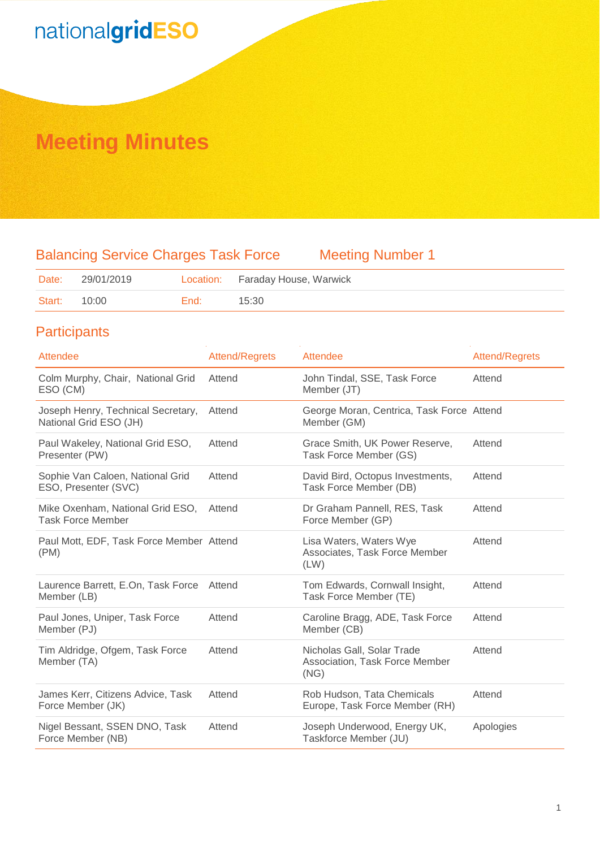## **Meeting Minutes**

## Balancing Service Charges Task Force Meeting Number 1

| Date:        | 29/01/2019 |        | Location: Faraday House, Warwick |
|--------------|------------|--------|----------------------------------|
| Start: 10:00 |            | End: I | 15:30                            |

### **Participants**

| Attendee                                                     | <b>Attend/Regrets</b> | Attendee                                                             | <b>Attend/Regrets</b> |
|--------------------------------------------------------------|-----------------------|----------------------------------------------------------------------|-----------------------|
| Colm Murphy, Chair, National Grid<br>ESO (CM)                | Attend                | John Tindal, SSE, Task Force<br>Member (JT)                          | Attend                |
| Joseph Henry, Technical Secretary,<br>National Grid ESO (JH) | Attend                | George Moran, Centrica, Task Force Attend<br>Member (GM)             |                       |
| Paul Wakeley, National Grid ESO,<br>Presenter (PW)           | Attend                | Grace Smith, UK Power Reserve,<br>Task Force Member (GS)             | Attend                |
| Sophie Van Caloen, National Grid<br>ESO, Presenter (SVC)     | Attend                | David Bird, Octopus Investments,<br>Task Force Member (DB)           | Attend                |
| Mike Oxenham, National Grid ESO,<br><b>Task Force Member</b> | Attend                | Dr Graham Pannell, RES, Task<br>Force Member (GP)                    | Attend                |
| Paul Mott, EDF, Task Force Member Attend<br>(PM)             |                       | Lisa Waters, Waters Wye<br>Associates, Task Force Member<br>(LW)     | Attend                |
| Laurence Barrett, E.On, Task Force<br>Member (LB)            | Attend                | Tom Edwards, Cornwall Insight,<br>Task Force Member (TE)             | Attend                |
| Paul Jones, Uniper, Task Force<br>Member (PJ)                | Attend                | Caroline Bragg, ADE, Task Force<br>Member (CB)                       | Attend                |
| Tim Aldridge, Ofgem, Task Force<br>Member (TA)               | Attend                | Nicholas Gall, Solar Trade<br>Association, Task Force Member<br>(NG) | Attend                |
| James Kerr, Citizens Advice, Task<br>Force Member (JK)       | Attend                | Rob Hudson, Tata Chemicals<br>Europe, Task Force Member (RH)         | Attend                |
| Nigel Bessant, SSEN DNO, Task<br>Force Member (NB)           | Attend                | Joseph Underwood, Energy UK,<br>Taskforce Member (JU)                | Apologies             |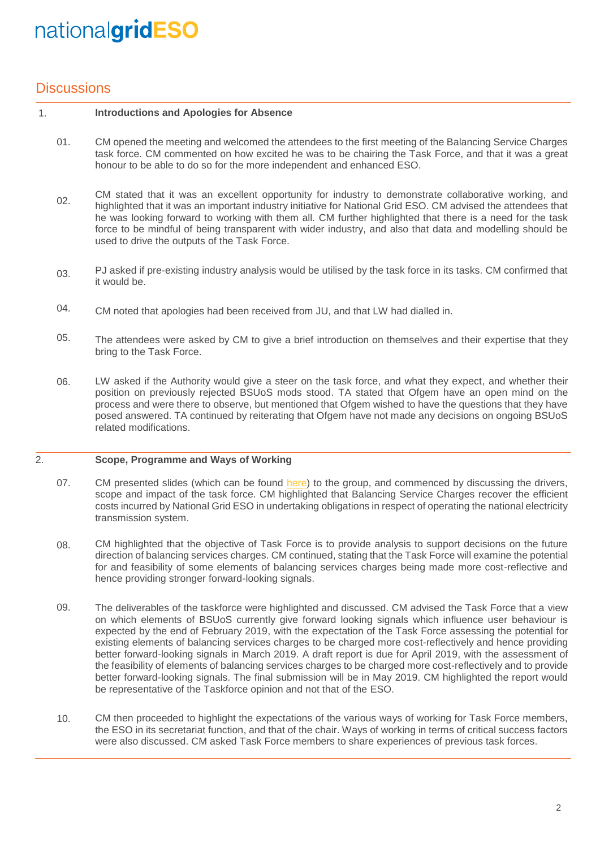### **Discussions**

#### 1. **Introductions and Apologies for Absence**

- 01. CM opened the meeting and welcomed the attendees to the first meeting of the Balancing Service Charges task force. CM commented on how excited he was to be chairing the Task Force, and that it was a great honour to be able to do so for the more independent and enhanced ESO.
- 02. CM stated that it was an excellent opportunity for industry to demonstrate collaborative working, and highlighted that it was an important industry initiative for National Grid ESO. CM advised the attendees that he was looking forward to working with them all. CM further highlighted that there is a need for the task force to be mindful of being transparent with wider industry, and also that data and modelling should be used to drive the outputs of the Task Force.
- 03. PJ asked if pre-existing industry analysis would be utilised by the task force in its tasks. CM confirmed that it would be.
- 04. CM noted that apologies had been received from JU, and that LW had dialled in.
- 05. The attendees were asked by CM to give a brief introduction on themselves and their expertise that they bring to the Task Force.
- 06. LW asked if the Authority would give a steer on the task force, and what they expect, and whether their position on previously rejected BSUoS mods stood. TA stated that Ofgem have an open mind on the process and were there to observe, but mentioned that Ofgem wished to have the questions that they have posed answered. TA continued by reiterating that Ofgem have not made any decisions on ongoing BSUoS related modifications.

#### 2. **Scope, Programme and Ways of Working**

- 07. CM presented slides (which can be found [here\)](http://www.chargingfutures.com/) to the group, and commenced by discussing the drivers, scope and impact of the task force. CM highlighted that Balancing Service Charges recover the efficient costs incurred by National Grid ESO in undertaking obligations in respect of operating the national electricity transmission system.
- 08. CM highlighted that the objective of Task Force is to provide analysis to support decisions on the future direction of balancing services charges. CM continued, stating that the Task Force will examine the potential for and feasibility of some elements of balancing services charges being made more cost-reflective and hence providing stronger forward-looking signals.
- 09. The deliverables of the taskforce were highlighted and discussed. CM advised the Task Force that a view on which elements of BSUoS currently give forward looking signals which influence user behaviour is expected by the end of February 2019, with the expectation of the Task Force assessing the potential for existing elements of balancing services charges to be charged more cost-reflectively and hence providing better forward-looking signals in March 2019. A draft report is due for April 2019, with the assessment of the feasibility of elements of balancing services charges to be charged more cost-reflectively and to provide better forward-looking signals. The final submission will be in May 2019. CM highlighted the report would be representative of the Taskforce opinion and not that of the ESO.
- 10. CM then proceeded to highlight the expectations of the various ways of working for Task Force members, the ESO in its secretariat function, and that of the chair. Ways of working in terms of critical success factors were also discussed. CM asked Task Force members to share experiences of previous task forces.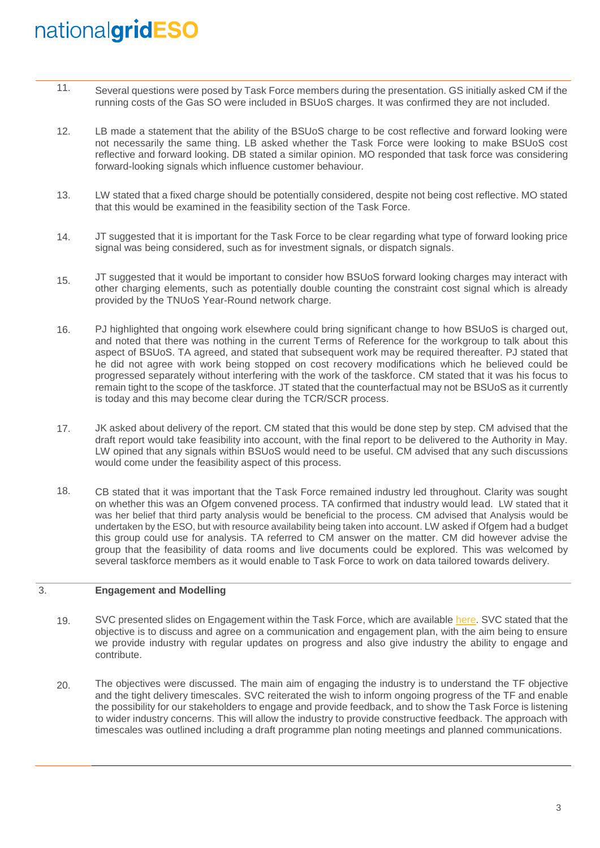- 11. Several questions were posed by Task Force members during the presentation. GS initially asked CM if the running costs of the Gas SO were included in BSUoS charges. It was confirmed they are not included.
- 12. LB made a statement that the ability of the BSUoS charge to be cost reflective and forward looking were not necessarily the same thing. LB asked whether the Task Force were looking to make BSUoS cost reflective and forward looking. DB stated a similar opinion. MO responded that task force was considering forward-looking signals which influence customer behaviour.
- 13. LW stated that a fixed charge should be potentially considered, despite not being cost reflective. MO stated that this would be examined in the feasibility section of the Task Force.
- 14. JT suggested that it is important for the Task Force to be clear regarding what type of forward looking price signal was being considered, such as for investment signals, or dispatch signals.
- 15. JT suggested that it would be important to consider how BSUoS forward looking charges may interact with other charging elements, such as potentially double counting the constraint cost signal which is already provided by the TNUoS Year-Round network charge.
- 16. PJ highlighted that ongoing work elsewhere could bring significant change to how BSUoS is charged out, and noted that there was nothing in the current Terms of Reference for the workgroup to talk about this aspect of BSUoS. TA agreed, and stated that subsequent work may be required thereafter. PJ stated that he did not agree with work being stopped on cost recovery modifications which he believed could be progressed separately without interfering with the work of the taskforce. CM stated that it was his focus to remain tight to the scope of the taskforce. JT stated that the counterfactual may not be BSUoS as it currently is today and this may become clear during the TCR/SCR process.
- 17. JK asked about delivery of the report. CM stated that this would be done step by step. CM advised that the draft report would take feasibility into account, with the final report to be delivered to the Authority in May. LW opined that any signals within BSUoS would need to be useful. CM advised that any such discussions would come under the feasibility aspect of this process.
- 18. CB stated that it was important that the Task Force remained industry led throughout. Clarity was sought on whether this was an Ofgem convened process. TA confirmed that industry would lead. LW stated that it was her belief that third party analysis would be beneficial to the process. CM advised that Analysis would be undertaken by the ESO, but with resource availability being taken into account. LW asked if Ofgem had a budget this group could use for analysis. TA referred to CM answer on the matter. CM did however advise the group that the feasibility of data rooms and live documents could be explored. This was welcomed by several taskforce members as it would enable to Task Force to work on data tailored towards delivery.

#### 3. **Engagement and Modelling**

- 19. SVC presented slides on Engagement within the Task Force, which are available [here.](http://www.chargingfutures.com/) SVC stated that the objective is to discuss and agree on a communication and engagement plan, with the aim being to ensure we provide industry with regular updates on progress and also give industry the ability to engage and contribute.
- 20. The objectives were discussed. The main aim of engaging the industry is to understand the TF objective and the tight delivery timescales. SVC reiterated the wish to inform ongoing progress of the TF and enable the possibility for our stakeholders to engage and provide feedback, and to show the Task Force is listening to wider industry concerns. This will allow the industry to provide constructive feedback. The approach with timescales was outlined including a draft programme plan noting meetings and planned communications.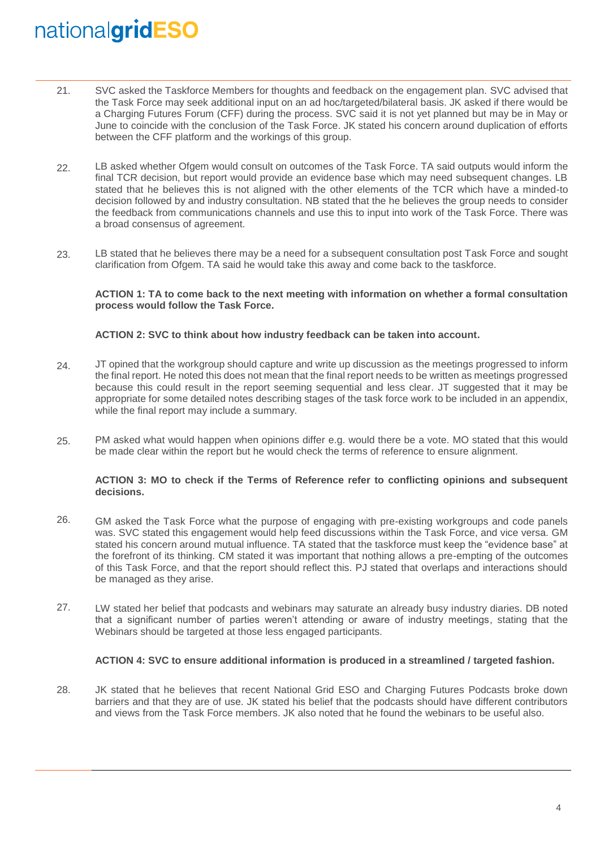- 21. SVC asked the Taskforce Members for thoughts and feedback on the engagement plan. SVC advised that the Task Force may seek additional input on an ad hoc/targeted/bilateral basis. JK asked if there would be a Charging Futures Forum (CFF) during the process. SVC said it is not yet planned but may be in May or June to coincide with the conclusion of the Task Force. JK stated his concern around duplication of efforts between the CFF platform and the workings of this group.
- 22. LB asked whether Ofgem would consult on outcomes of the Task Force. TA said outputs would inform the final TCR decision, but report would provide an evidence base which may need subsequent changes. LB stated that he believes this is not aligned with the other elements of the TCR which have a minded-to decision followed by and industry consultation. NB stated that the he believes the group needs to consider the feedback from communications channels and use this to input into work of the Task Force. There was a broad consensus of agreement.
- 23. LB stated that he believes there may be a need for a subsequent consultation post Task Force and sought clarification from Ofgem. TA said he would take this away and come back to the taskforce.

### **ACTION 1: TA to come back to the next meeting with information on whether a formal consultation process would follow the Task Force.**

### **ACTION 2: SVC to think about how industry feedback can be taken into account.**

- 24. JT opined that the workgroup should capture and write up discussion as the meetings progressed to inform the final report. He noted this does not mean that the final report needs to be written as meetings progressed because this could result in the report seeming sequential and less clear. JT suggested that it may be appropriate for some detailed notes describing stages of the task force work to be included in an appendix, while the final report may include a summary.
- 25. PM asked what would happen when opinions differ e.g. would there be a vote. MO stated that this would be made clear within the report but he would check the terms of reference to ensure alignment.

### **ACTION 3: MO to check if the Terms of Reference refer to conflicting opinions and subsequent decisions.**

- 26. GM asked the Task Force what the purpose of engaging with pre-existing workgroups and code panels was. SVC stated this engagement would help feed discussions within the Task Force, and vice versa. GM stated his concern around mutual influence. TA stated that the taskforce must keep the "evidence base" at the forefront of its thinking. CM stated it was important that nothing allows a pre-empting of the outcomes of this Task Force, and that the report should reflect this. PJ stated that overlaps and interactions should be managed as they arise.
- 27. LW stated her belief that podcasts and webinars may saturate an already busy industry diaries. DB noted that a significant number of parties weren't attending or aware of industry meetings, stating that the Webinars should be targeted at those less engaged participants.

### **ACTION 4: SVC to ensure additional information is produced in a streamlined / targeted fashion.**

28. JK stated that he believes that recent National Grid ESO and Charging Futures Podcasts broke down barriers and that they are of use. JK stated his belief that the podcasts should have different contributors and views from the Task Force members. JK also noted that he found the webinars to be useful also.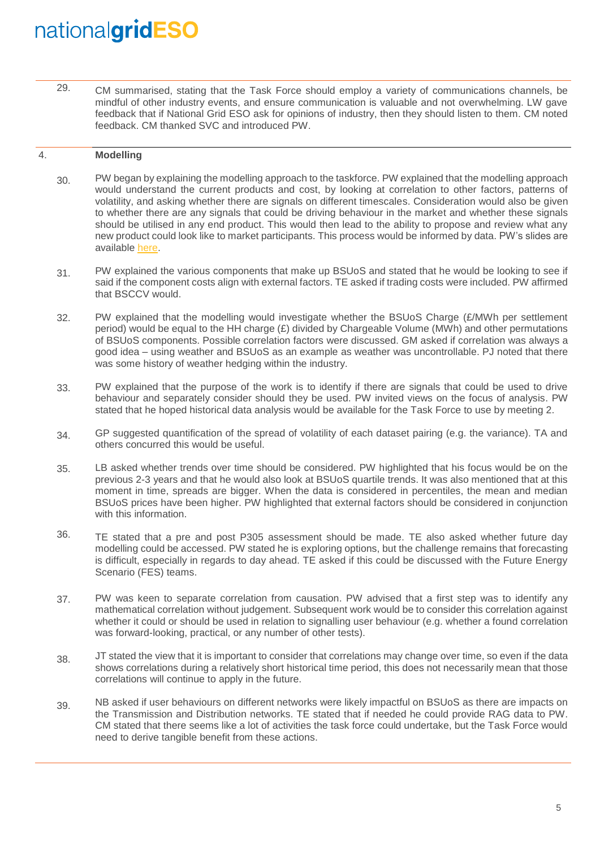29. CM summarised, stating that the Task Force should employ a variety of communications channels, be mindful of other industry events, and ensure communication is valuable and not overwhelming. LW gave feedback that if National Grid ESO ask for opinions of industry, then they should listen to them. CM noted feedback. CM thanked SVC and introduced PW.

#### 4. **Modelling**

- 30. PW began by explaining the modelling approach to the taskforce. PW explained that the modelling approach would understand the current products and cost, by looking at correlation to other factors, patterns of volatility, and asking whether there are signals on different timescales. Consideration would also be given to whether there are any signals that could be driving behaviour in the market and whether these signals should be utilised in any end product. This would then lead to the ability to propose and review what any new product could look like to market participants. This process would be informed by data. PW's slides are available [here.](http://www.chargingfutures.com/)
- 31. PW explained the various components that make up BSUoS and stated that he would be looking to see if said if the component costs align with external factors. TE asked if trading costs were included. PW affirmed that BSCCV would.
- 32. PW explained that the modelling would investigate whether the BSUoS Charge (£/MWh per settlement period) would be equal to the HH charge (£) divided by Chargeable Volume (MWh) and other permutations of BSUoS components. Possible correlation factors were discussed. GM asked if correlation was always a good idea – using weather and BSUoS as an example as weather was uncontrollable. PJ noted that there was some history of weather hedging within the industry.
- 33. PW explained that the purpose of the work is to identify if there are signals that could be used to drive behaviour and separately consider should they be used. PW invited views on the focus of analysis. PW stated that he hoped historical data analysis would be available for the Task Force to use by meeting 2.
- 34. GP suggested quantification of the spread of volatility of each dataset pairing (e.g. the variance). TA and others concurred this would be useful.
- 35. LB asked whether trends over time should be considered. PW highlighted that his focus would be on the previous 2-3 years and that he would also look at BSUoS quartile trends. It was also mentioned that at this moment in time, spreads are bigger. When the data is considered in percentiles, the mean and median BSUoS prices have been higher. PW highlighted that external factors should be considered in conjunction with this information.
- 36. TE stated that a pre and post P305 assessment should be made. TE also asked whether future day modelling could be accessed. PW stated he is exploring options, but the challenge remains that forecasting is difficult, especially in regards to day ahead. TE asked if this could be discussed with the Future Energy Scenario (FES) teams.
- 37. PW was keen to separate correlation from causation. PW advised that a first step was to identify any mathematical correlation without judgement. Subsequent work would be to consider this correlation against whether it could or should be used in relation to signalling user behaviour (e.g. whether a found correlation was forward-looking, practical, or any number of other tests).
- 38. JT stated the view that it is important to consider that correlations may change over time, so even if the data shows correlations during a relatively short historical time period, this does not necessarily mean that those correlations will continue to apply in the future.
- 39. NB asked if user behaviours on different networks were likely impactful on BSUoS as there are impacts on the Transmission and Distribution networks. TE stated that if needed he could provide RAG data to PW. CM stated that there seems like a lot of activities the task force could undertake, but the Task Force would need to derive tangible benefit from these actions.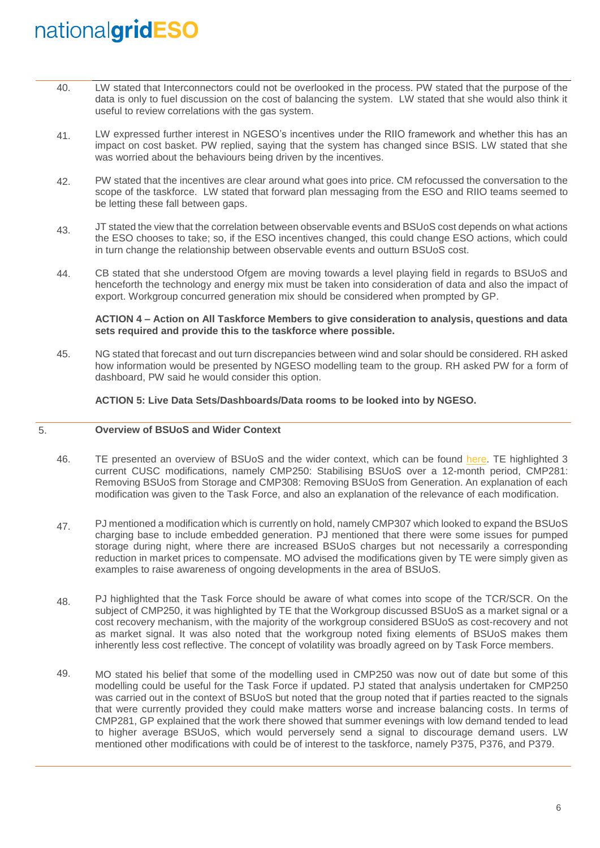- 40. LW stated that Interconnectors could not be overlooked in the process. PW stated that the purpose of the data is only to fuel discussion on the cost of balancing the system. LW stated that she would also think it useful to review correlations with the gas system.
- 41. LW expressed further interest in NGESO's incentives under the RIIO framework and whether this has an impact on cost basket. PW replied, saying that the system has changed since BSIS. LW stated that she was worried about the behaviours being driven by the incentives.
- 42. PW stated that the incentives are clear around what goes into price. CM refocussed the conversation to the scope of the taskforce. LW stated that forward plan messaging from the ESO and RIIO teams seemed to be letting these fall between gaps.
- 43. JT stated the view that the correlation between observable events and BSUoS cost depends on what actions the ESO chooses to take; so, if the ESO incentives changed, this could change ESO actions, which could in turn change the relationship between observable events and outturn BSUoS cost.
- 44. CB stated that she understood Ofgem are moving towards a level playing field in regards to BSUoS and henceforth the technology and energy mix must be taken into consideration of data and also the impact of export. Workgroup concurred generation mix should be considered when prompted by GP.

### **ACTION 4 – Action on All Taskforce Members to give consideration to analysis, questions and data sets required and provide this to the taskforce where possible.**

45. NG stated that forecast and out turn discrepancies between wind and solar should be considered. RH asked how information would be presented by NGESO modelling team to the group. RH asked PW for a form of dashboard, PW said he would consider this option.

### **ACTION 5: Live Data Sets/Dashboards/Data rooms to be looked into by NGESO.**

#### 5. **Overview of BSUoS and Wider Context**

- 46. TE presented an overview of BSUoS and the wider context, which can be found [here.](http://www.chargingfutures.com/) TE highlighted 3 current CUSC modifications, namely CMP250: Stabilising BSUoS over a 12-month period, CMP281: Removing BSUoS from Storage and CMP308: Removing BSUoS from Generation. An explanation of each modification was given to the Task Force, and also an explanation of the relevance of each modification.
- 47. PJ mentioned a modification which is currently on hold, namely CMP307 which looked to expand the BSUoS charging base to include embedded generation. PJ mentioned that there were some issues for pumped storage during night, where there are increased BSUoS charges but not necessarily a corresponding reduction in market prices to compensate. MO advised the modifications given by TE were simply given as examples to raise awareness of ongoing developments in the area of BSUoS.
- 48. PJ highlighted that the Task Force should be aware of what comes into scope of the TCR/SCR. On the subject of CMP250, it was highlighted by TE that the Workgroup discussed BSUoS as a market signal or a cost recovery mechanism, with the majority of the workgroup considered BSUoS as cost-recovery and not as market signal. It was also noted that the workgroup noted fixing elements of BSUoS makes them inherently less cost reflective. The concept of volatility was broadly agreed on by Task Force members.
- 49. MO stated his belief that some of the modelling used in CMP250 was now out of date but some of this modelling could be useful for the Task Force if updated. PJ stated that analysis undertaken for CMP250 was carried out in the context of BSUoS but noted that the group noted that if parties reacted to the signals that were currently provided they could make matters worse and increase balancing costs. In terms of CMP281, GP explained that the work there showed that summer evenings with low demand tended to lead to higher average BSUoS, which would perversely send a signal to discourage demand users. LW mentioned other modifications with could be of interest to the taskforce, namely P375, P376, and P379.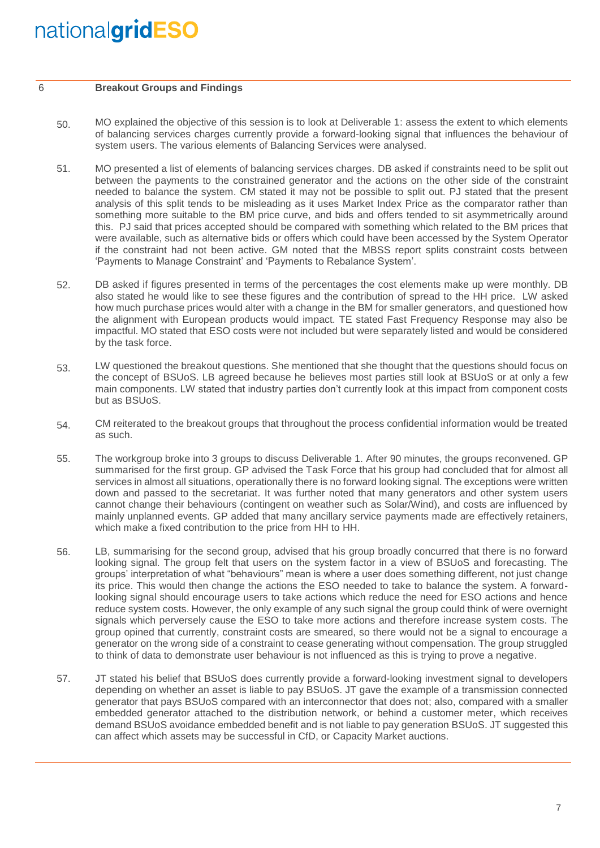#### 6 **Breakout Groups and Findings**

- 50. MO explained the objective of this session is to look at Deliverable 1: assess the extent to which elements of balancing services charges currently provide a forward-looking signal that influences the behaviour of system users. The various elements of Balancing Services were analysed.
- 51. MO presented a list of elements of balancing services charges. DB asked if constraints need to be split out between the payments to the constrained generator and the actions on the other side of the constraint needed to balance the system. CM stated it may not be possible to split out. PJ stated that the present analysis of this split tends to be misleading as it uses Market Index Price as the comparator rather than something more suitable to the BM price curve, and bids and offers tended to sit asymmetrically around this. PJ said that prices accepted should be compared with something which related to the BM prices that were available, such as alternative bids or offers which could have been accessed by the System Operator if the constraint had not been active. GM noted that the MBSS report splits constraint costs between 'Payments to Manage Constraint' and 'Payments to Rebalance System'.
- 52. DB asked if figures presented in terms of the percentages the cost elements make up were monthly. DB also stated he would like to see these figures and the contribution of spread to the HH price. LW asked how much purchase prices would alter with a change in the BM for smaller generators, and questioned how the alignment with European products would impact. TE stated Fast Frequency Response may also be impactful. MO stated that ESO costs were not included but were separately listed and would be considered by the task force.
- 53. LW questioned the breakout questions. She mentioned that she thought that the questions should focus on the concept of BSUoS. LB agreed because he believes most parties still look at BSUoS or at only a few main components. LW stated that industry parties don't currently look at this impact from component costs but as BSUoS.
- 54. CM reiterated to the breakout groups that throughout the process confidential information would be treated as such.
- 55. The workgroup broke into 3 groups to discuss Deliverable 1. After 90 minutes, the groups reconvened. GP summarised for the first group. GP advised the Task Force that his group had concluded that for almost all services in almost all situations, operationally there is no forward looking signal. The exceptions were written down and passed to the secretariat. It was further noted that many generators and other system users cannot change their behaviours (contingent on weather such as Solar/Wind), and costs are influenced by mainly unplanned events. GP added that many ancillary service payments made are effectively retainers, which make a fixed contribution to the price from HH to HH.
- 56. LB, summarising for the second group, advised that his group broadly concurred that there is no forward looking signal. The group felt that users on the system factor in a view of BSUoS and forecasting. The groups' interpretation of what "behaviours" mean is where a user does something different, not just change its price. This would then change the actions the ESO needed to take to balance the system. A forwardlooking signal should encourage users to take actions which reduce the need for ESO actions and hence reduce system costs. However, the only example of any such signal the group could think of were overnight signals which perversely cause the ESO to take more actions and therefore increase system costs. The group opined that currently, constraint costs are smeared, so there would not be a signal to encourage a generator on the wrong side of a constraint to cease generating without compensation. The group struggled to think of data to demonstrate user behaviour is not influenced as this is trying to prove a negative.
- 57. JT stated his belief that BSUoS does currently provide a forward-looking investment signal to developers depending on whether an asset is liable to pay BSUoS. JT gave the example of a transmission connected generator that pays BSUoS compared with an interconnector that does not; also, compared with a smaller embedded generator attached to the distribution network, or behind a customer meter, which receives demand BSUoS avoidance embedded benefit and is not liable to pay generation BSUoS. JT suggested this can affect which assets may be successful in CfD, or Capacity Market auctions.